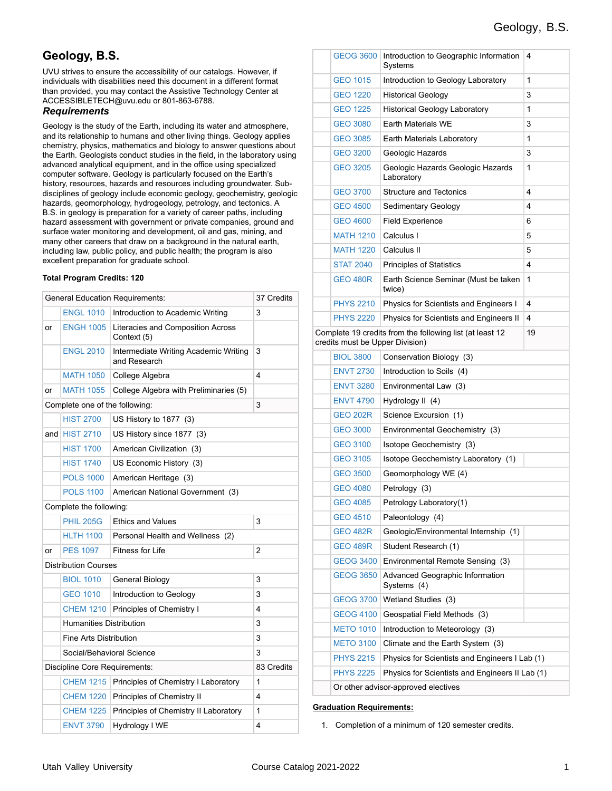## **Geology, B.S.**

UVU strives to ensure the accessibility of our catalogs. However, if individuals with disabilities need this document in a different format than provided, you may contact the Assistive Technology Center at ACCESSIBLETECH@uvu.edu or 801-863-6788.

#### *Requirements*

Geology is the study of the Earth, including its water and atmosphere, and its relationship to humans and other living things. Geology applies chemistry, physics, mathematics and biology to answer questions about the Earth. Geologists conduct studies in the field, in the laboratory using advanced analytical equipment, and in the office using specialized computer software. Geology is particularly focused on the Earth's history, resources, hazards and resources including groundwater. Subdisciplines of geology include economic geology, geochemistry, geologic hazards, geomorphology, hydrogeology, petrology, and tectonics. A B.S. in geology is preparation for a variety of career paths, including hazard assessment with government or private companies, ground and surface water monitoring and development, oil and gas, mining, and many other careers that draw on a background in the natural earth, including law, public policy, and public health; the program is also excellent preparation for graduate school.

#### **Total Program Credits: 120**

|                                     | <b>General Education Requirements:</b><br>37 Credits |                                                       |                |  |
|-------------------------------------|------------------------------------------------------|-------------------------------------------------------|----------------|--|
|                                     | <b>ENGL 1010</b>                                     | Introduction to Academic Writing                      | 3              |  |
| or                                  | <b>ENGH 1005</b>                                     | Literacies and Composition Across<br>Context (5)      |                |  |
|                                     | <b>ENGL 2010</b>                                     | Intermediate Writing Academic Writing<br>and Research | 3              |  |
|                                     | <b>MATH 1050</b>                                     | College Algebra                                       | 4              |  |
| or                                  | <b>MATH 1055</b>                                     | College Algebra with Preliminaries (5)                |                |  |
| 3<br>Complete one of the following: |                                                      |                                                       |                |  |
|                                     | <b>HIST 2700</b>                                     | US History to 1877 (3)                                |                |  |
|                                     | and $HIST 2710$                                      | US History since 1877 (3)                             |                |  |
|                                     | <b>HIST 1700</b>                                     | American Civilization (3)                             |                |  |
|                                     | <b>HIST 1740</b>                                     | US Economic History (3)                               |                |  |
|                                     | <b>POLS 1000</b>                                     | American Heritage (3)                                 |                |  |
|                                     | <b>POLS 1100</b>                                     | American National Government (3)                      |                |  |
|                                     | Complete the following:                              |                                                       |                |  |
|                                     | <b>PHIL 205G</b>                                     | <b>Ethics and Values</b>                              | 3              |  |
|                                     | <b>HLTH 1100</b>                                     | Personal Health and Wellness (2)                      |                |  |
| or                                  | <b>PES 1097</b>                                      | Fitness for Life                                      | $\overline{2}$ |  |
| <b>Distribution Courses</b>         |                                                      |                                                       |                |  |
|                                     | <b>BIOL 1010</b>                                     | General Biology                                       | 3              |  |
|                                     | <b>GEO 1010</b>                                      | Introduction to Geology                               | 3              |  |
|                                     | <b>CHEM 1210</b>                                     | Principles of Chemistry I                             | 4              |  |
|                                     | <b>Humanities Distribution</b>                       |                                                       | 3              |  |
|                                     | Fine Arts Distribution                               | 3                                                     |                |  |
|                                     | Social/Behavioral Science                            | 3                                                     |                |  |
|                                     | Discipline Core Requirements:                        |                                                       | 83 Credits     |  |
|                                     | <b>CHEM 1215</b>                                     | Principles of Chemistry I Laboratory                  | 1              |  |
|                                     | <b>CHEM 1220</b>                                     | Principles of Chemistry II                            | 4              |  |
|                                     | <b>CHEM 1225</b>                                     | Principles of Chemistry II Laboratory                 | 1              |  |
|                                     | <b>ENVT 3790</b>                                     | Hydrology I WE                                        | 4              |  |

|                                                                                             | <b>GEOG 3600</b>                    | Introduction to Geographic Information<br>Systems | 4 |
|---------------------------------------------------------------------------------------------|-------------------------------------|---------------------------------------------------|---|
|                                                                                             | <b>GEO 1015</b>                     | Introduction to Geology Laboratory                | 1 |
|                                                                                             | <b>GEO 1220</b>                     | <b>Historical Geology</b>                         | 3 |
|                                                                                             | <b>GEO 1225</b>                     | <b>Historical Geology Laboratory</b>              | 1 |
|                                                                                             | <b>GEO 3080</b>                     | <b>Farth Materials WF</b>                         | 3 |
|                                                                                             | <b>GEO 3085</b>                     | Earth Materials Laboratory                        | 1 |
|                                                                                             | <b>GEO 3200</b>                     | Geologic Hazards                                  | 3 |
|                                                                                             | <b>GEO 3205</b>                     | Geologic Hazards Geologic Hazards<br>Laboratory   | 1 |
|                                                                                             | <b>GEO 3700</b>                     | <b>Structure and Tectonics</b>                    | 4 |
|                                                                                             | <b>GEO 4500</b>                     | Sedimentary Geology                               | 4 |
|                                                                                             | <b>GEO 4600</b>                     | <b>Field Experience</b>                           | 6 |
|                                                                                             | <b>MATH 1210</b>                    | Calculus I                                        | 5 |
|                                                                                             | <b>MATH 1220</b>                    | Calculus II                                       | 5 |
|                                                                                             | <b>STAT 2040</b>                    | <b>Principles of Statistics</b>                   | 4 |
|                                                                                             | <b>GEO 480R</b>                     | Earth Science Seminar (Must be taken<br>twice)    | 1 |
|                                                                                             | <b>PHYS 2210</b>                    | Physics for Scientists and Engineers I            | 4 |
|                                                                                             | <b>PHYS 2220</b>                    | Physics for Scientists and Engineers II           | 4 |
| Complete 19 credits from the following list (at least 12<br>credits must be Upper Division) | 19                                  |                                                   |   |
|                                                                                             | <b>BIOL 3800</b>                    | Conservation Biology (3)                          |   |
|                                                                                             | <b>ENVT 2730</b>                    | Introduction to Soils (4)                         |   |
|                                                                                             | <b>ENVT 3280</b>                    | Environmental Law (3)                             |   |
|                                                                                             | <b>ENVT 4790</b>                    | Hydrology II (4)                                  |   |
|                                                                                             | <b>GEO 202R</b>                     | Science Excursion (1)                             |   |
|                                                                                             | <b>GEO 3000</b>                     | Environmental Geochemistry (3)                    |   |
|                                                                                             | <b>GEO 3100</b>                     | Isotope Geochemistry (3)                          |   |
|                                                                                             | <b>GEO 3105</b>                     | Isotope Geochemistry Laboratory (1)               |   |
|                                                                                             | <b>GEO 3500</b>                     | Geomorphology WE (4)                              |   |
|                                                                                             | <b>GEO 4080</b>                     | Petrology (3)                                     |   |
|                                                                                             | <b>GEO 4085</b>                     | Petrology Laboratory(1)                           |   |
|                                                                                             | <b>GEO 4510</b>                     | Paleontology (4)                                  |   |
|                                                                                             | GEO 482R                            | Geologic/Environmental Internship (1)             |   |
|                                                                                             | <b>GEO 489R</b>                     | Student Research (1)                              |   |
|                                                                                             | <b>GEOG 3400</b>                    | Environmental Remote Sensing (3)                  |   |
|                                                                                             | <b>GEOG 3650</b>                    | Advanced Geographic Information<br>Systems (4)    |   |
|                                                                                             | <b>GEOG 3700</b>                    | Wetland Studies (3)                               |   |
|                                                                                             | <b>GEOG 4100</b>                    | Geospatial Field Methods (3)                      |   |
|                                                                                             | <b>METO 1010</b>                    | Introduction to Meteorology (3)                   |   |
|                                                                                             | <b>METO 3100</b>                    | Climate and the Earth System (3)                  |   |
|                                                                                             | <b>PHYS 2215</b>                    | Physics for Scientists and Engineers I Lab (1)    |   |
|                                                                                             | <b>PHYS 2225</b>                    | Physics for Scientists and Engineers II Lab (1)   |   |
|                                                                                             | Or other advisor-approved electives |                                                   |   |

#### **Graduation Requirements:**

1. Completion of a minimum of 120 semester credits.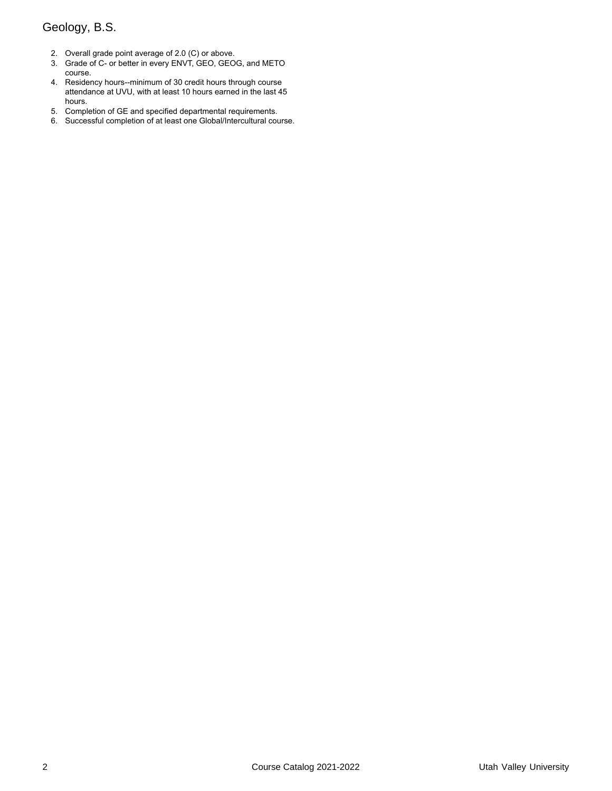# Geology, B.S.

- 2. Overall grade point average of 2.0 (C) or above.
- 3. Grade of C- or better in every ENVT, GEO, GEOG, and METO course.
- 4. Residency hours--minimum of 30 credit hours through course attendance at UVU, with at least 10 hours earned in the last 45 hours.
- 5. Completion of GE and specified departmental requirements.
- 6. Successful completion of at least one Global/Intercultural course.